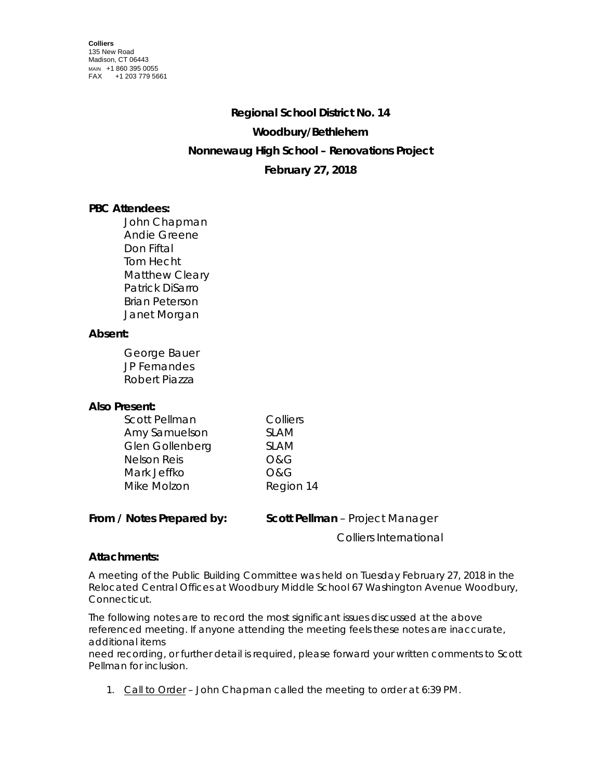# **Regional School District No. 14 Woodbury/Bethlehem Nonnewaug High School – Renovations Project February 27, 2018**

## **PBC Attendees:**

John Chapman Andie Greene Don Fiftal Tom Hecht Matthew Cleary Patrick DiSarro Brian Peterson Janet Morgan

### **Absent:**

George Bauer JP Fernandes Robert Piazza

### **Also Present:**

| Colliers       |
|----------------|
| <b>SLAM</b>    |
| <b>SLAM</b>    |
| O&G            |
| <b>O&amp;G</b> |
| Region 14      |
|                |

### **From / Notes Prepared by: Scott Pellman** – Project Manager

Colliers International

### **Attachments:**

A meeting of the Public Building Committee was held on Tuesday February 27, 2018 in the Relocated Central Offices at Woodbury Middle School 67 Washington Avenue Woodbury, Connecticut.

The following notes are to record the most significant issues discussed at the above referenced meeting. If anyone attending the meeting feels these notes are inaccurate, additional items

need recording, or further detail is required, please forward your written comments to Scott Pellman for inclusion.

1. Call to Order – John Chapman called the meeting to order at 6:39 PM.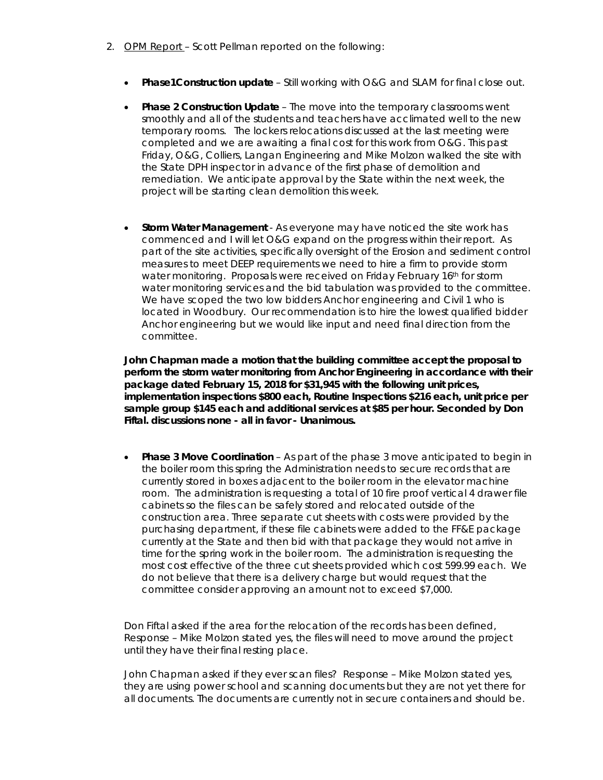- 2. OPM Report Scott Pellman reported on the following:
	- **Phase1Construction update** Still working with O&G and SLAM for final close out.
	- **Phase 2 Construction Update** The move into the temporary classrooms went smoothly and all of the students and teachers have acclimated well to the new temporary rooms. The lockers relocations discussed at the last meeting were completed and we are awaiting a final cost for this work from O&G. This past Friday, O&G, Colliers, Langan Engineering and Mike Molzon walked the site with the State DPH inspector in advance of the first phase of demolition and remediation. We anticipate approval by the State within the next week, the project will be starting clean demolition this week.
	- **Storm Water Management** As everyone may have noticed the site work has commenced and I will let O&G expand on the progress within their report. As part of the site activities, specifically oversight of the Erosion and sediment control measures to meet DEEP requirements we need to hire a firm to provide storm water monitoring. Proposals were received on Friday February 16th for storm water monitoring services and the bid tabulation was provided to the committee. We have scoped the two low bidders Anchor engineering and Civil 1 who is located in Woodbury. Our recommendation is to hire the lowest qualified bidder Anchor engineering but we would like input and need final direction from the committee.

**John Chapman made a motion that the building committee accept the proposal to perform the storm water monitoring from Anchor Engineering in accordance with their package dated February 15, 2018 for \$31,945 with the following unit prices, implementation inspections \$800 each, Routine Inspections \$216 each, unit price per sample group \$145 each and additional services at \$85 per hour. Seconded by Don Fiftal. discussions none - all in favor - Unanimous.**

• **Phase 3 Move Coordination** – As part of the phase 3 move anticipated to begin in the boiler room this spring the Administration needs to secure records that are currently stored in boxes adjacent to the boiler room in the elevator machine room. The administration is requesting a total of 10 fire proof vertical 4 drawer file cabinets so the files can be safely stored and relocated outside of the construction area. Three separate cut sheets with costs were provided by the purchasing department, if these file cabinets were added to the FF&E package currently at the State and then bid with that package they would not arrive in time for the spring work in the boiler room. The administration is requesting the most cost effective of the three cut sheets provided which cost 599.99 each. We do not believe that there is a delivery charge but would request that the committee consider approving an amount not to exceed \$7,000.

Don Fiftal asked if the area for the relocation of the records has been defined, Response – Mike Molzon stated yes, the files will need to move around the project until they have their final resting place.

John Chapman asked if they ever scan files? Response – Mike Molzon stated yes, they are using power school and scanning documents but they are not yet there for all documents. The documents are currently not in secure containers and should be.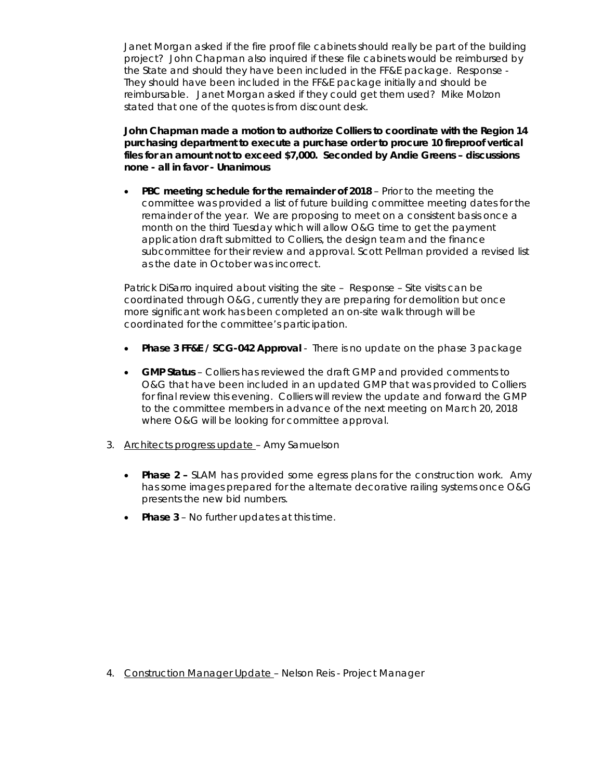Janet Morgan asked if the fire proof file cabinets should really be part of the building project? John Chapman also inquired if these file cabinets would be reimbursed by the State and should they have been included in the FF&E package. Response - They should have been included in the FF&E package initially and should be reimbursable. Janet Morgan asked if they could get them used? Mike Molzon stated that one of the quotes is from discount desk.

**John Chapman made a motion to authorize Colliers to coordinate with the Region 14 purchasing department to execute a purchase order to procure 10 fireproof vertical files for an amount not to exceed \$7,000. Seconded by Andie Greens – discussions none - all in favor - Unanimous**

• **PBC meeting schedule for the remainder of 2018** – Prior to the meeting the committee was provided a list of future building committee meeting dates for the remainder of the year. We are proposing to meet on a consistent basis once a month on the third Tuesday which will allow O&G time to get the payment application draft submitted to Colliers, the design team and the finance subcommittee for their review and approval. Scott Pellman provided a revised list as the date in October was incorrect.

Patrick DiSarro inquired about visiting the site – Response – Site visits can be coordinated through O&G, currently they are preparing for demolition but once more significant work has been completed an on-site walk through will be coordinated for the committee's participation.

- **Phase 3 FF&E / SCG-042 Approval** There is no update on the phase 3 package
- **GMP Status** Colliers has reviewed the draft GMP and provided comments to O&G that have been included in an updated GMP that was provided to Colliers for final review this evening. Colliers will review the update and forward the GMP to the committee members in advance of the next meeting on March 20, 2018 where O&G will be looking for committee approval.
- 3. Architects progress update Amy Samuelson
	- **Phase 2 –** SLAM has provided some egress plans for the construction work. Amy has some images prepared for the alternate decorative railing systems once O&G presents the new bid numbers.
	- **Phase 3** No further updates at this time.

4. Construction Manager Update – Nelson Reis - Project Manager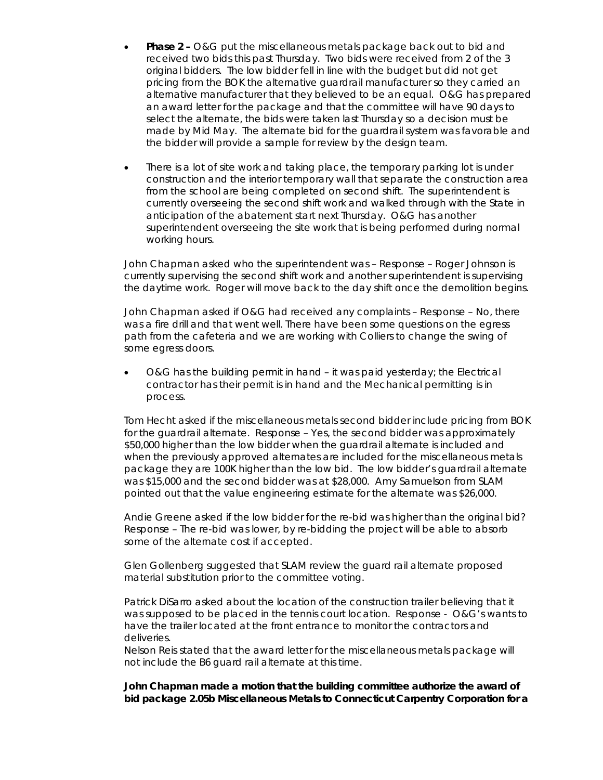- **Phase 2 –** O&G put the miscellaneous metals package back out to bid and received two bids this past Thursday. Two bids were received from 2 of the 3 original bidders. The low bidder fell in line with the budget but did not get pricing from the BOK the alternative guardrail manufacturer so they carried an alternative manufacturer that they believed to be an equal. O&G has prepared an award letter for the package and that the committee will have 90 days to select the alternate, the bids were taken last Thursday so a decision must be made by Mid May. The alternate bid for the guardrail system was favorable and the bidder will provide a sample for review by the design team.
- There is a lot of site work and taking place, the temporary parking lot is under construction and the interior temporary wall that separate the construction area from the school are being completed on second shift. The superintendent is currently overseeing the second shift work and walked through with the State in anticipation of the abatement start next Thursday. O&G has another superintendent overseeing the site work that is being performed during normal working hours.

John Chapman asked who the superintendent was – Response – Roger Johnson is currently supervising the second shift work and another superintendent is supervising the daytime work. Roger will move back to the day shift once the demolition begins.

John Chapman asked if O&G had received any complaints – Response – No, there was a fire drill and that went well. There have been some questions on the egress path from the cafeteria and we are working with Colliers to change the swing of some egress doors.

• O&G has the building permit in hand – it was paid yesterday; the Electrical contractor has their permit is in hand and the Mechanical permitting is in process.

Tom Hecht asked if the miscellaneous metals second bidder include pricing from BOK for the guardrail alternate. Response – Yes, the second bidder was approximately \$50,000 higher than the low bidder when the guardrail alternate is included and when the previously approved alternates are included for the miscellaneous metals package they are 100K higher than the low bid. The low bidder's guardrail alternate was \$15,000 and the second bidder was at \$28,000. Amy Samuelson from SLAM pointed out that the value engineering estimate for the alternate was \$26,000.

Andie Greene asked if the low bidder for the re-bid was higher than the original bid? Response – The re-bid was lower, by re-bidding the project will be able to absorb some of the alternate cost if accepted.

Glen Gollenberg suggested that SLAM review the guard rail alternate proposed material substitution prior to the committee voting.

Patrick DiSarro asked about the location of the construction trailer believing that it was supposed to be placed in the tennis court location. Response - O&G's wants to have the trailer located at the front entrance to monitor the contractors and deliveries.

Nelson Reis stated that the award letter for the miscellaneous metals package will not include the B6 guard rail alternate at this time.

**John Chapman made a motion that the building committee authorize the award of bid package 2.05b Miscellaneous Metals to Connecticut Carpentry Corporation for a**